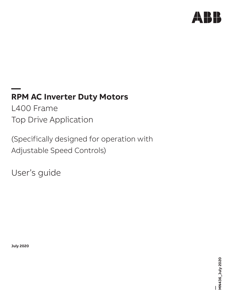

# **— RPM AC Inverter Duty Motors**

L400 Frame Top Drive Application

(Specifically designed for operation with Adjustable Speed Controls)

User's guide

**July 2020**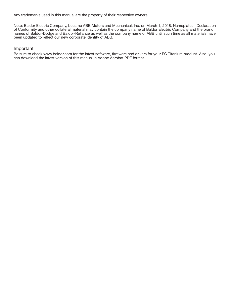Any trademarks used in this manual are the property of their respective owners.

Note: Baldor Electric Company, became ABB Motors and Mechanical, Inc. on March 1, 2018. Nameplates, Declaration of Conformity and other collateral material may contain the company name of Baldor Electric Company and the brand names of Baldor-Dodge and Baldor-Reliance as well as the company name of ABB until such time as all materials have been updated to reflect our new corporate identity of ABB.

# Important:

Be sure to check www.baldor.com for the latest software, firmware and drivers for your EC Titanium product. Also, you can download the latest version of this manual in Adobe Acrobat PDF format.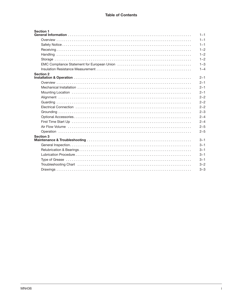| <b>Section 1</b> | $1 - 1$ |
|------------------|---------|
|                  | $1 - 1$ |
|                  | $1 - 1$ |
|                  | $1 - 2$ |
|                  | $1 - 2$ |
|                  | $1 - 2$ |
|                  | $1 - 3$ |
|                  | $1 - 4$ |
| <b>Section 2</b> |         |
|                  | $2 - 1$ |
|                  | $2 - 1$ |
|                  | $2 - 1$ |
|                  | $2 - 1$ |
|                  | $2 - 2$ |
|                  | $2 - 2$ |
|                  | $2 - 2$ |
|                  | $2 - 3$ |
|                  | $2 - 4$ |
|                  | $2 - 4$ |
|                  | $2 - 5$ |
|                  | $2 - 5$ |
| <b>Section 3</b> |         |
|                  | $3 - 1$ |
|                  | $3 - 1$ |
|                  | $3 - 1$ |
|                  | $3 - 1$ |
|                  | $3 - 1$ |
|                  | $3 - 2$ |
|                  | $3 - 3$ |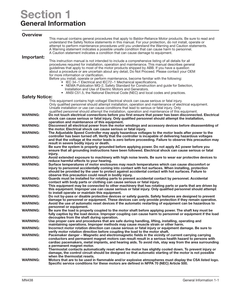# Section 1 General Information

# **Overview**

This manual contains general procedures that apply to Baldor-Reliance Motor products. Be sure to read and understand the Safety Notice statements in this manual. For your protection, do not install, operate or attempt to perform maintenance procedures until you understand the Warning and Caution statements. A Warning statement indicates a possible unsafe condition that can cause harm to personnel. A Caution statement indicates a condition that can cause damage to equipment.

# Important:

This instruction manual is not intended to include a comprehensive listing of all details for all procedures required for installation, operation and maintenance. This manual describes general guidelines that apply to most of the motor products shipped by ABB. If you have a question about a procedure or are uncertain about any detail, Do Not Proceed. Please contact your OEM for more information or clarification.

Before you install, operate or perform maintenance, become familiar with the following:

- IEC 34−1 Electrical and IEC72−1 Mechanical specifications.
- NEMA Publication MG-2, Safety Standard for Construction and guide for Selection, Installation and Use of Electric Motors and Generators.
- ANSI C51.5, the National Electrical Code (NEC) and local codes and practices.

# Safety Notion

| <b>OAICLY INULICE.</b> |                                                                                                                                                |
|------------------------|------------------------------------------------------------------------------------------------------------------------------------------------|
|                        | This equipment contains high voltage! Electrical shock can cause serious or fatal injury.                                                      |
|                        | Only qualified personnel should attempt installation, operation and maintenance of electrical equipment.                                       |
|                        | Unsafe installation or use can cause conditions that lead to serious or fatal injury. Only                                                     |
|                        | qualified personnel should attempt the installation, operation and maintenance of this equipment.                                              |
| <b>WARNING:</b>        | Do not touch electrical connections before you first ensure that power has been disconnected. Electrical                                       |
|                        | shock can cause serious or fatal injury. Only qualified personnel should attempt the installation,                                             |
|                        | operation and maintenance of this equipment.                                                                                                   |
| <b>WARNING:</b>        | Disconnect all electrical power from the motor windings and accessory devices before disassembling of                                          |
|                        | the motor. Electrical shock can cause serious or fatal injury.                                                                                 |
| <b>WARNING:</b>        | The Adjustable Speed Controller may apply hazardous voltages to the motor leads after power to the                                             |
|                        | controller has been turned off. Verify that the controller is incapable of delivering hazardous voltages                                       |
|                        | and that the voltage at the motor leads is zero before proceeding. Failure to observe this precaution may                                      |
|                        | result in severe bodily injury or death.                                                                                                       |
| <b>WARNING:</b>        | Be sure the system is properly grounded before applying power. Do not apply AC power before you                                                |
|                        | ensure that all grounding instructions have been followed. Electrical shock can cause serious or fatal                                         |
|                        | injury.                                                                                                                                        |
| <b>WARNING:</b>        | Avoid extended exposure to machinery with high noise levels. Be sure to wear ear protective devices to                                         |
|                        | reduce harmful effects to your hearing.                                                                                                        |
| <b>WARNING:</b>        | Surface temperatures of motor enclosures may reach temperatures which can cause discomfort or                                                  |
|                        | injury to personnel accidentally coming into contact with hot surfaces. When installing, protection                                            |
|                        | should be provided by the user to protect against accidental contact with hot surfaces. Failure to                                             |
|                        | observe this precaution could result in bodily injury.                                                                                         |
| <b>WARNING:</b>        | Guards must be installed for rotating parts to prevent accidental contact by personnel. Accidental                                             |
|                        | contact with body parts or clothing can cause serious or fatal injury.                                                                         |
| <b>WARNING:</b>        | This equipment may be connected to other machinery that has rotating parts or parts that are driven by                                         |
|                        | this equipment. Improper use can cause serious or fatal injury. Only qualified personnel should attempt                                        |
|                        | to install operate or maintain this equipment.                                                                                                 |
| <b>WARNING:</b>        | Do not by-pass or disable protective devices or safety guards. Safety features are designed to prevent                                         |
|                        | damage to personnel or equipment. These devices can only provide protection if they remain operative.                                          |
| <b>WARNING:</b>        | Avoid the use of automatic reset devices if the automatic restarting of equipment can be hazardous to                                          |
|                        | personnel or equipment.                                                                                                                        |
| <b>WARNING:</b>        | Be sure the load is properly coupled to the motor shaft before applying power. The shaft key must be                                           |
|                        | fully captive by the load device. Improper coupling can cause harm to personnel or equipment if the load                                       |
| <b>WARNING:</b>        | decouples from the shaft during operation.<br>Use proper care and procedures that are safe during handling, lifting, installing, operating and |
|                        | maintaining operations. Improper methods may cause muscle strain or other harm.                                                                |
| <b>WARNING:</b>        | Incorrect motor rotation direction can cause serious or fatal injury or equipment damage. Be sure to                                           |
|                        | verify motor rotation direction before coupling the load to the motor shaft.                                                                   |
| <b>WARNING:</b>        | Pacemaker danger – Magnetic and electromagnetic fields in the vicinity of current carrying carrying                                            |
|                        | conductors and permanent magnet motors can result result in a serious health hazard to persons with                                            |
|                        | cardiac pacemakers, metal implants, and hearing aids. To avoid risk, stay way from the area surrounding                                        |
|                        | a permanent magnet motor.                                                                                                                      |
| <b>WARNING:</b>        | Thermostat contacts automatically reset when the motor has slightly cooled down. To prevent injury or                                          |
|                        | damage, the control circuit should be designed so that automatic starting of the motor is not possible                                         |
|                        | when the thermostat resets.                                                                                                                    |
| <b>WARNING:</b>        | Motors that are to be used in flammable and/or explosive atmospheres must display the CSA listed logo.                                         |
|                        | Specific service conditions for these motors are defined in NFPA 70 (NEC) Article 500.                                                         |
|                        |                                                                                                                                                |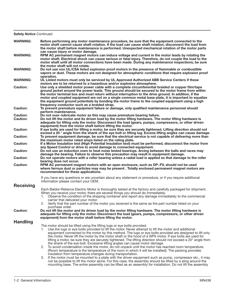**Safety Notice Continued** 

| <b>WARNING:</b>                    | Before performing any motor maintenance procedure, be sure that the equipment connected to the<br>motor shaft cannot cause shaft rotation. If the load can cause shaft rotation, disconnect the load from<br>the motor shaft before maintenance is performed. Unexpected mechanical rotation of the motor parts<br>can cause injury or motor damage.                                                                                                                                                                                                                                                              |
|------------------------------------|-------------------------------------------------------------------------------------------------------------------------------------------------------------------------------------------------------------------------------------------------------------------------------------------------------------------------------------------------------------------------------------------------------------------------------------------------------------------------------------------------------------------------------------------------------------------------------------------------------------------|
| <b>WARNING:</b>                    | RPM AC permanent magnet motors can induce voltage and current in the motor leads by rotating the<br>motor shaft. Electrical shock can cause serious or fatal injury. Therefore, do not couple the load to the<br>motor shaft until all motor connections have been made. During any maintenance inspections, be sure<br>the motor shaft will not rotate.                                                                                                                                                                                                                                                          |
| <b>WARNING:</b>                    | Do not use non UL/CSA listed explosion proof motors in the presence of flammable or combustible<br>vapors or dust. These motors are not designed for atmospheric conditions that require explosion proof<br>operation.                                                                                                                                                                                                                                                                                                                                                                                            |
| <b>WARNING:</b>                    | UL Listed motors must only be serviced by UL Approved Authorized ABB Service Centers if these<br>motors are to be returned to a hazardous and/or explosive atmosphere.                                                                                                                                                                                                                                                                                                                                                                                                                                            |
| <b>Caution:</b>                    | Use only a shielded motor power cable with a complete circumferential braided or copper film/tape<br>ground jacket around the power leads. This ground should be secured to the motor frame from within<br>the motor terminal box and must return without interruption to the drive ground. In addition, if the<br>motor and coupled equipment are not on a single common metal base plate, it is important to equalize<br>the equipment ground potentials by bonding the motor frame to the coupled equipment using a high<br>frequency conductor such as a braided strap.                                       |
| <b>Caution:</b>                    | To prevent premature equipment failure or damage, only qualified maintenance personnel should<br>perform maintenance.                                                                                                                                                                                                                                                                                                                                                                                                                                                                                             |
| <b>Caution:</b><br><b>Caution:</b> | Do not over-lubricate motor as this may cause premature bearing failure.<br>Do not lift the motor and its driven load by the motor lifting hardware. The motor lifting hardware is<br>adequate for lifting only the motor. Disconnect the load (gears, pumps, compressors, or other driven<br>equipment) from the motor shaft before lifting the motor.                                                                                                                                                                                                                                                           |
| <b>Caution:</b>                    | If eye bolts are used for lifting a motor, be sure they are securely tightened. Lifting direction should not<br>exceed a 20 ° angle from the shank of the eye bolt or lifting lug. Excess lifting angles can cause damage.                                                                                                                                                                                                                                                                                                                                                                                        |
| <b>Caution:</b>                    | To prevent equipment damage, be sure that the electrical service is not capable of delivering more than<br>the maximum motor rated amps listed on the rating plate.                                                                                                                                                                                                                                                                                                                                                                                                                                               |
| <b>Caution:</b>                    | If a Motor Insulation test (High Potential Insulation test) must be performed, disconnect the motor from<br>any Speed Control or drive to avoid damage to connected equipment.                                                                                                                                                                                                                                                                                                                                                                                                                                    |
| <b>Caution:</b>                    | Do not use an induction oven to heat noise tested bearings. Arcing between the balls and races may<br>damage the bearing. Failure to observe this precaution may result in equipment damage.                                                                                                                                                                                                                                                                                                                                                                                                                      |
| <b>Caution:</b>                    | Do not operate motors with a roller bearing unless a radial load is applied so that damage to the roller<br>bearing does not occur.                                                                                                                                                                                                                                                                                                                                                                                                                                                                               |
| <b>Caution:</b>                    | RPM AC permanent magnet motors with an open enclosure, such as DP-FV, should not be used<br>where ferrous dust or particles may may be present. Totally enclosed permanent magnet motors are<br>recommended for these applications.                                                                                                                                                                                                                                                                                                                                                                               |
|                                    | If you have any questions or are uncertain about any statement or procedure, or if you require additional<br>information please contact your OEM.                                                                                                                                                                                                                                                                                                                                                                                                                                                                 |
| <b>Receiving</b>                   | Each Baldor-Reliance Electric Motor is thoroughly tested at the factory and carefully packaged for shipment.<br>When you receive your motor, there are several things you should do immediately.<br>Observe the condition of the shipping container and report any damage immediately to the commercial<br>1.<br>carrier that delivered your motor.<br>2. Verify that the part number of the motor you received is the same as the part number listed on your                                                                                                                                                     |
| <b>Caution:</b>                    | purchase order.<br>Do not lift the motor and its driven load by the motor lifting hardware. The motor lifting hardware is<br>adequate for lifting only the motor. Disconnect the load (gears, pumps, compressors, or other driven<br>equipment) from the motor shaft before lifting the motor.                                                                                                                                                                                                                                                                                                                    |
| <b>Handling</b>                    |                                                                                                                                                                                                                                                                                                                                                                                                                                                                                                                                                                                                                   |
|                                    | The motor should be lifted using the lifting lugs or eye bolts provided.<br>Use the lugs or eye bolts provided to lift the motor. Never attempt to lift the motor and additional<br>1.<br>equipment connected to the motor by this method. The lugs or eye bolts provided are designed to lift only<br>the motor. Never lift the motor by the motor shaft or the hood of a WPII motor. If eye bolts are used for<br>lifting a motor, be sure they are securely tightened. The lifting direction should not exceed a 20° angle from<br>the shank of the eye bolt. Excessive lifting angles can cause motor damage. |
|                                    | 2. To avoid condensation inside the motor, do not unpack until the motor has reached room temperature.<br>(Room temperature is the temperature of the room in which it will be installed). The packing provides                                                                                                                                                                                                                                                                                                                                                                                                   |
|                                    | insulation from temperature changes during transportation.<br>If the motor must be mounted to a plate with the driven equipment such as pump, compressor etc., it may<br>З.<br>not be possible to lift the motor alone. For this case, the assembly should be lifted by a sling around the<br>mounting base. The entire assembly can be lifted as an assembly for installation. Do not lift the assembly                                                                                                                                                                                                          |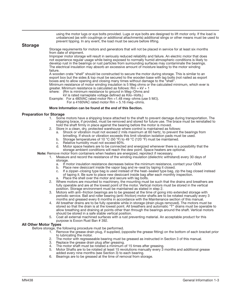using the motor lugs or eye bolts provided. Lugs or eye bolts are designed to lift motor only. If the load is unbalanced (as with couplings or additional attachments) additional slings or other means must be used to prevent tipping. In any event, the load must be secure before lifting.

# Storage

Storage requirements for motors and generators that will not be placed in service for at least six months from date of shipment.

Improper motor storage will result in seriously reduced reliability and failure. An electric motor that does not experience regular usage while being exposed to normally humid atmospheric conditions is likely to develop rust in the bearings or rust particles from surrounding surfaces may contaminate the bearings. The electrical insulation may absorb an excessive amount of moisture leading to the motor winding failure.

A wooden crate "shell" should be constructed to secure the motor during storage. This is similar to an export box but the sides & top must be secured to the wooden base with lag bolts (not nailed as export boxes are) to allow opening and closing many times without damage to the "shell".

Minimum resistance of motor winding insulation is 5 Meg ohms or the calculated minimum, which ever is greater. Minimum resistance is calculated as follows:  $Rm = kV + 1$  where: ( $Rm$  is minimum resistance to ground in Meg-Ohms and

(Rm is minimum resistance to ground in Meg-Ohms and

kV is rated nameplate voltage defined as Kilo−Volts.)

Example: For a 480VAC rated motor Rm =1.48 meg−ohms (use 5 MΩ).

For a 4160VAC rated motor Rm = 5.16 meg−ohms.

# More Information can be found at the end of this Section.

# Preparation for Storage

- 1. Some motors have a shipping brace attached to the shaft to prevent damage during transportation. The shipping brace, if provided, must be removed and stored for future use. The brace must be reinstalled to hold the shaft firmly in place against the bearing before the motor is moved.
- 2. Store in a clean, dry, protected warehouse where control is maintained as follows:
	- a. Shock or vibration must not exceed 2 mils maximum at 60 hertz, to prevent the bearings from brinelling. If shock or vibration exceeds this limit vibration isolation pads must be used.
	- b. Storage temperatures of 10 °C (50 °F) to 49 °C (120 °F) must be maintained.
	- c. Relative humidity must not exceed 60%.
	- d. Motor space heaters are to be connected and energized whenever there is a possibility that the storage ambient conditions will reach the dew point. Space heaters are optional.

Note: Remove motor from containers when heaters are energized, reprotect if necessary.

- 1. Measure and record the resistance of the winding insulation (dielectric withstand) every 30 days of storage.
	- a. If motor insulation resistance decreases below the minimum resistance, contact your OEM.
	- b. Place new desiccant inside the vapor bag and re−seal by taping it closed.
	- c. If a zipper−closing type bag is used instead of the heat−sealed type bag, zip the bag closed instead of taping it. Be sure to place new desiccant inside bag after each monthly inspection. a. Place the shell over the motor and secure with lag bolts.
	-
- 2. Where motors are mounted to machinery, the mounting must be such that the drains and breathers are fully operable and are at the lowest point of the motor. Vertical motors must be stored in the vertical position. Storage environment must be maintained as stated in step 2.
- 3. Motors with anti−friction bearings are to be greased at the time of going into extended storage with periodic service. Ball and roller bearing (anti−friction) motor shafts are to be rotated manually every 3 months and greased every 6 months in accordance with the Maintenance section of this manual.
- 4. All breather drains are to be fully operable while in storage (drain plugs removed). The motors must be stored so that the drain is at the lowest point. All breathers and automatic "T" drains must be operable to allow breathing and draining at points other than through the bearings around the shaft. Vertical motors should be stored in a safe stable vertical position.
- 5. Coat all external machined surfaces with a rust preventing material. An acceptable product for this purpose is Exxon Rust Ban # 392.

# All Other Motor Types

Before storage, the following procedure must be performed.

- 1. Remove the grease drain plug, if supplied, (opposite the grease fitting) on the bottom of each bracket prior to lubricating the motor.
- 2. The motor with regreaseable bearing must be greased as instructed in Section 3 of this manual.
- 3. Replace the grease drain plug after greasing.<br>4. The motor shaft must be rotated a minimum
- The motor shaft must be rotated a minimum of 15 times after greasing.
- 5. Motor Shafts are to be rotated at least 15 revolutions manually every 3 months and additional grease added every nine months (see Section 3) to each bearing.
- 6. Bearings are to be greased at the time of removal from storage.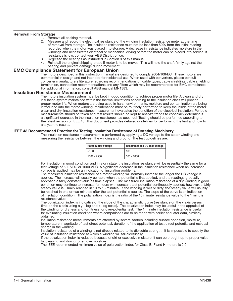# **Removal From Storage**<br>1. Remo

- 1. Remove all packing material.<br>2. Measure and record the elect
- Measure and record the electrical resistance of the winding insulation resistance meter at the time of removal from storage. The insulation resistance must not be less than 50% from the initial reading recorded when the motor was placed into storage. A decrease in resistance indicates moisture in the windings and necessitates electrical or mechanical drying before the motor can be placed into service. If resistance is low, contact your ABB District office.
- 3. Regrease the bearings as instructed in Section 3 of this manual.
- 4. Reinstall the original shipping brace if motor is to be moved. This will hold the shaft firmly against the bearing and prevent damage during movement.

# EMC Compliance Statement for European Union

The motors described in this instruction manual are designed to comply 2004/108/EC . These motors are commercial in design and not intended for residential use. When used with converters, please consult converter manufacturers literature regarding recommendations on cable types, cable shielding, cable shielding termination, connection recommendations and any filters which may be recommended for EMC compliance. For additional information, consult ABB manual MN1383.

# Insulation Resistance Measurement

The motors insulation system must be kept in good condition to achieve proper motor life. A clean and dry insulation system maintained within the thermal limitations according to the insulation class will provide proper motor life. When motors are being used in harsh environments, moisture and contamination are being introduced into the motor winding, maintenance must be routinely performed to keep the inside of the motor clean and dry. Insulation resistance measurement evaluates the condition of the electrical insulation. Periodic measurements should be taken and test results should be kept to analyze trends to especially determine if a significant decrease in the insulation resistance has occurred. Testing should be performed according to the latest revision of IEEE 43. This document provides detailed guidelines for performing the test and how to analyze the results.

# IEEE 43 Recommended Practice for Testing Insulation Resistance of Rotating Machinery.

The insulation resistance measurement is performed by applying a DC voltage to the stator winding and measuring the resistance between the winding and ground. The test guidelines are:

| <b>Rated Motor Voltage</b> | <b>Recommended DC Test Voltage</b> |
|----------------------------|------------------------------------|
| < 1000                     | 500                                |
| $1001 - 2500$              | $500 - 1000$                       |

For insulation in good condition and in a dry state, the insulation resistance will be essentially the same for a test voltage of 500 VDC or 1000 VDC. A significant decrease in the insulation resistance when an increased voltage is applied may be an indication of insulation problems.

The measured insulation resistance of a motor winding will normally increase the longer the DC voltage is applied. The increase will usually be rapid when the potential is first applied, and the readings gradually approach a fairly constant value as time elapses. The measured insulation resistance of a dry winding in good condition may continue to increase for hours with constant test potential continuously applied; however, a fairly steady value is usually reached in 10 to 15 minutes. If the winding is wet or dirty, the steady value will usually be reached in one or two minutes after the test potential is applied. The slope of the curve is an indication of insulation condition. The polarization index is the ratio of the 10 minute resistance value to the 1 minute resistance value.

The polarization index is indicative of the slope of the characteristic curve (resistance on the y axis versus time on the x axis using a y – log and x- log scale). The polarization index may be useful in the appraisal of the winding for dryness and for fitness for over-potential test. The 1 minute insulation resistance is useful for evaluating insulation condition where comparisons are to be made with earlier and later data, similarly obtained.

Insulation resistance measurements are affected by several factors including surface condition, moisture, temperature, magnitude of test direct potential, duration of the application of test direct potential and residual charge in the winding.

Insulation resistance of a winding is not directly related to its dielectric strength. It is impossible to specify the value of insulation resistance at which a winding will fail electrically.

If the polarization index is reduced because of dirt or excessive moisture, it can be brought up to proper value by cleaning and drying to remove moisture.

The IEEE recommended minimum value of polarization index for Class B, F and H motors is 2.0.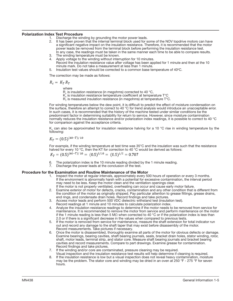# Polarization Index Test Procedure

- 1. Discharge the winding by grounding the motor power leads.
- 2. It has been proven that the internal terminal block used for some of the NOV topdrive motors can have a significant negative impact on the insulation resistance. Therefore, it is recommended that the motor power leads be removed from the terminal block before performing the insulation resistance test. In any case, the readings must be taken in the same manner each time to be able to compare results.
- 3. The winding temperature must be known.
- Apply voltage to the winding without interruption for 10 minutes.
- Record the insulation resistance value after voltage has been applied for 1 minute and then at the 10 minute mark. Do not take a measurement at less than 1 minute.
- 5. Insulation test values should be corrected to a common base temperature of  $40^{\circ}$ C.

The correction may be made as follows:

 $R_c = K_T R_T$ 

where

- $R_c$  is insulation resistance (in megohms) corrected to 40 °C,
- $K<sub>r</sub>$  is insulation resistance temperature coefficient at temperature  $T<sup>o</sup>C$
- $R_{\tau}^{'}$  is measured insulation resistance (in megohms) at temperature T°C.

For winding temperatures below the dew point, it is difficult to predict the effect of moisture condensation on the surface, therefore an attempt to correct to 40 °C for trend analysis would introduce an unacceptable error. In such cases, it is recommended that the history of the machine tested under similar conditions be the predominant factor in determining suitability for return to service. However, since moisture contamination normally reduces the insulation resistance and/or polarization index readings, it is possible to correct to 40 °C for comparison against the acceptance criteria.

K<sub>r</sub> can also be approximated for insulation resistance halving for a 10  $^{\circ}$ C rise in winding temperature by the following:

 $K_T = (0.5)^{(40-T)/10}$ 

For example, if the winding temperature at test time was 35°C and the insulation was such that the resistance halved for every 10 °C, then the KT for correction to 40 °C would be derived as follows:<br>  $K_T = (0.5)^{(40-T)/10} = (0.5)^{5/10} = (0.5)^{1/2} = 0.707$ 

- The polarization index is the 10 minute reading divided by the 1 minute reading.
- 6. The polarization index is the 10 minute reading divided 7. Discharge the power leads at the conclusion of the test.

#### Procedure for the Examination and Routine Maintenance of the Motor

- 1. Inspect the motor at regular intervals, approximately every 500 hours of operation or every 3 months. If the environment is abnormally harsh with a potential for excessive contamination, the interval period may need to be less. Keep the motor clean and the ventilation openings clear. If the motor is not properly ventilated, overheating can occur and cause early motor failure.
- 2. Examine exterior of motor for defects, cracks, contamination and any other condition that is different from the condition of the motor as originally shipped. Pay particular attention to grease fittings, grease drains, end rings, and condensate drain holes. Record findings and take pictures.
- 3. Access motor leads and perform 500 VDC dielectric withstand test (insulation test).
- Record readings at 1 minute and 10 minutes to calculate polarization index.
- 4. Analyze the insulation resistance readings to determine if the motor needs to be removed from service for maintenance. It is recommended to remove the motor from service and perform maintenance on the motor if the 1 minute reading is less than 5 M $\Omega$  when corrected to 40 °C or if the polarization index is less than 2.0 or if there is a significant decrease in the values when compared to previous tests.
- 5. If the motor is removed from service for maintenance, measure the shaft extension for total indicator run out and record any damage to the shaft taper that may exist before disassembly of the motor. Record measurements. Take pictures if necessary.
- 6. Once the motor is disassembled, thoroughly examine all parts of the motor for obvious defects or damage. Examine bearings, bearing cavities, shaft bearing journals, seals, bracket drain holes, stator winding, rotor, shaft, motor leads, terminal strip, and stator core. Measure shaft bearing journals and bracket bearing cavities and record measurements. Compare to part drawings. Examine grease for contamination. Record findings and take pictures.
- 7. If the winding and/or core are contaminated, pressure cleaning may be required.
- Visual inspection and the insulation resistance test results will help determine if cleaning is required. 8. If the insulation resistance is low but a visual inspection does not reveal heavy contamination, moisture may be the problem. The stator core and winding may be dried in an oven at 250 °F - 275 °F for seven hours.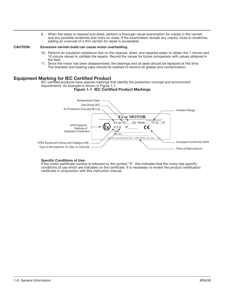9. When the stator is cleaned and dried, perform a thorough visual examination for cracks in the varnish and any possible scratches and nicks on wires. If the examination reveals any cracks, nicks or scratches, adding an overcoat of a thin varnish for repair is acceptable.

# CAUTION: Excessive varnish build can cause motor overheating.

- 10. Perform an insulation resistance test on the cleaned, dried, and repaired stator to obtain the 1 minute and 10 minute values to validate the repairs. Record the values for future comparison with values obtained in the field.
- 11. Since the motor has been disassembled, the bearings and all seals should be replaced at this time. The brackets and bearing caps should be washed to remove all grease and contamination.

# Equipment Marking for IEC Certified Product

IEC certified products have special markings that identify the protection concept and environment requirements. An example is shown in Figure 1-1.

# Figure 1-1 IEC Certified Product Markings



#### Specific Conditions of Use:

If the motor certificate number is followed by the symbol "X", this indicates that the motor has specific conditions of use which are indicated on the certificate. It is necessary to review the product certification certificate in conjunction with this instruction manual.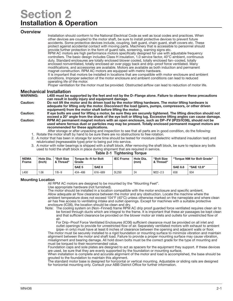# Section 2 Installation & Operation

# **Overview**

Installation should conform to the National Electrical Code as well as local codes and practices. When other devices are coupled to the motor shaft, be sure to install protective devices to prevent future accidents. Some protective devices include, coupling, belt guard, chain guard, shaft covers etc. These protect against accidental contact with moving parts. Machinery that is accessible to personnel should provide further protection in the form of guard rails, screening, warning signs etc.

RPM AC motors are high performance motors specifically designed for use with adjustable frequency controllers. The basic design includes Class H insulation, 1.0 service factor, 40°C ambient, continuous duty. Standard enclosures are totally enclosed blower cooled, totally enclosed fan−cooled, totally enclosed nonventilated, totally enclosed air over piggy back and drip−proof force ventilated. Many modifications, and accessories are available. Motors are available as both induction and permanent magnet construction. RPM AC motors are equipped with metric hardware.

It is important that motors be installed in locations that are compatible with motor enclosure and ambient conditions. Improper selection of the motor enclosure and ambient conditions can lead to reduced operating life of the motor.

Proper ventilation for the motor must be provided. Obstructed airflow can lead to reduction of motor life.

# **Mechanical Installation**<br>WARNING: L400 must be s

L400 must be supported by the feet and not by the D–Flange alone. Failure to observe these precautions can result in bodily injury and equipment damage.

Caution: Do not lift the motor and its driven load by the motor lifting hardware. The motor lifting hardware is adequate for lifting only the motor. Disconnect the load (gears, pumps, compressors, or other driven equipment) from the motor shaft before lifting the motor.

Caution: If eye bolts are used for lifting a motor, be sure they are securely tightened. The lifting direction should not exceed a 20° angle from the shank of the eye bolt or lifting lug. Excessive lifting angles can cause damage. Caution: RPM AC permanent magnet motors with an open enclosure, such as DP−FV (IP23/IC06), should not be used where ferrous dust or particles may may be present. Totally enclosed permanent magnet motors are recommended for these applications.

- After storage or after unpacking and inspection to see that all parts are in good condition, do the following:
- 1. Rotate the motor shaft by hand to be sure there are no obstructions to free rotation.
- 2. A motor that has been in storage for some time should be tested for moisture (dielectric withstand insulation test) and relubricated (regreaseable type) prior to being put into service.
- 3. A motor with roller bearings is shipped with a shaft block. After removing the shaft block, be sure to replace any bolts used to hold the shaft block in place during shipment that are required in service.

| <b>NEMA</b><br>Frame | Hole Dia.<br>(Inch) | "Bolt Size<br>& Thread" | Torque Ib-ft for Bolt<br>Grade |              | <b>IEC Frame</b> | Hole Dia.<br>(mm) | "Bolt Size<br>& Thread" | "Torque NM for Bolt Grade" |            |
|----------------------|---------------------|-------------------------|--------------------------------|--------------|------------------|-------------------|-------------------------|----------------------------|------------|
|                      |                     |                         | SAE 5                          | <b>SAE 8</b> |                  |                   |                         | <b>SAE 8.8</b>             | "SAE 12.9" |
| L400                 | .06                 | $7/8 - 9$               | 434-486                        | 616-689      | <b>DL250</b>     | 24                | $M22 - 2.5$             | 658                        | 934        |

# Table 2-1 Tightening Torque

# Mounting Location

All RPM AC motors are designed to be mounted by the "Mounting Feet".

Use appropriate hardware (not furnished).

The motor should be installed in a location compatible with the motor enclosure and specific ambient. Allow adequate air flow clearance between the motor and any obstruction. Locate the machine where the ambient temperature does not exceed 104°F (40°C) unless otherwise marked on the nameplate and where clean air has free access to ventilating intake and outlet openings. Except for machines with a suitable protective enclosure (IC06), the location should be clean and dry.

Note: The cooling system on (Non−Finned) frame RPM AC drip proof guarded force ventilated requires clean air to be forced through ducts which are integral to the frame. It is important that these air passages be kept clean and that sufficient clearance be provided on the blower motor air inlets and outlets for unrestricted flow of air.

For Drip−Proof Force Ventilated Enclosures (IC06) sufficient clearance must be provided on all inlet and outlet openings to provide for unrestricted flow of air. Separately ventilated motors with exhaust to ambient (pipe−in only) must have at least 6 inches of clearance between the opening and adjacent walls or floor.

The motor must be securely installed to a rigid foundation or mounting surface to minimize vibration and maintain alignment between the motor and shaft load. Failure to provide a proper mounting surface may cause vibration, misalignment and bearing damage. All hold down bolts must be the correct grade for the type of mounting and must be torqued to their recommended value.

Foundation caps and sole plates are designed to act as spacers for the equipment they support. If these devices are used, be sure that they are evenly supported by the foundation or mounting surface.

When installation is complete and accurate alignment of the motor and load is accomplished, the base should be grouted to the foundation to maintain this alignment.

The standard motor base is designed for horizontal or vertical mounting. Adjustable or sliding rails are designed for horizontal mounting only. Consult your ABB District Office for further information.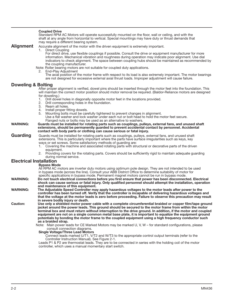|                                | <b>Coupled Drive</b><br>Standard RPM AC Motors will operate successfully mounted on the floor, wall or ceiling, and with the                                                                                                                                                                                                                                |
|--------------------------------|-------------------------------------------------------------------------------------------------------------------------------------------------------------------------------------------------------------------------------------------------------------------------------------------------------------------------------------------------------------|
|                                | shaft at any angle from horizontal to vertical. Special mountings may have duty or thrust demands that<br>may require a different bearing system.                                                                                                                                                                                                           |
| <b>Alignment</b>               | Accurate alignment of the motor with the driven equipment is extremely important.                                                                                                                                                                                                                                                                           |
|                                | 1. Direct Coupling                                                                                                                                                                                                                                                                                                                                          |
|                                | For direct drive, use flexible couplings if possible. Consult the drive or equipment manufacturer for more<br>information. Mechanical vibration and roughness during operation may indicate poor alignment. Use dial<br>indicators to check alignment. The space between coupling hubs should be maintained as recommended by<br>the coupling manufacturer. |
|                                | Note: Roller bearing motors are not suitable for coupled duty applications.<br>2. End-Play Adjustment                                                                                                                                                                                                                                                       |
|                                | The axial position of the motor frame with respect to its load is also extremely important. The motor bearings<br>are not designed for excessive external axial thrust loads. Improper adjustment will cause failure.                                                                                                                                       |
| <b>Doweling &amp; Bolting</b>  |                                                                                                                                                                                                                                                                                                                                                             |
|                                | After proper alignment is verified, dowel pins should be inserted through the motor feet into the foundation. This<br>will maintain the correct motor position should motor removal be required. (Baldor-Reliance motors are designed<br>for doweling.)                                                                                                     |
|                                | Drill dowel holes in diagonally opposite motor feet in the locations provided.<br>1.<br>Drill corresponding holes in the foundation.<br>2.                                                                                                                                                                                                                  |
|                                | 3.<br>Ream all holes.<br>Install proper fitting dowels.<br>4.                                                                                                                                                                                                                                                                                               |
|                                | Mounting bolts must be carefully tightened to prevent changes in alignment.<br>5.                                                                                                                                                                                                                                                                           |
|                                | Use a flat washer and lock washer under each nut or bolt head to hold the motor feet secure.                                                                                                                                                                                                                                                                |
| <b>WARNING:</b>                | Flanged nuts or bolts may be used as an alternative to washers.<br>Guards must be installed for rotating parts such as couplings, pulleys, external fans, and unused shaft                                                                                                                                                                                  |
|                                | extensions, should be permanently guarded to prevent accidental contact by personnel. Accidental<br>contact with body parts or clothing can cause serious or fatal injury.                                                                                                                                                                                  |
| Guarding                       | Guards must be installed for rotating parts such as couplings, pulleys, external fans, and unused shaft                                                                                                                                                                                                                                                     |
|                                | extensions. This is particularly important where the parts have surface irregularities such as keys, key                                                                                                                                                                                                                                                    |
|                                | ways or set screws. Some satisfactory methods of guarding are:<br>1. Covering the machine and associated rotating parts with structural or decorative parts of the driven                                                                                                                                                                                   |
|                                | equipment.                                                                                                                                                                                                                                                                                                                                                  |
|                                | 2. Providing covers for the rotating parts. Covers should be sufficiently rigid to maintain adequate guarding<br>during normal service.                                                                                                                                                                                                                     |
| <b>Electrical Installation</b> |                                                                                                                                                                                                                                                                                                                                                             |
|                                | <b>Bypass Mode</b>                                                                                                                                                                                                                                                                                                                                          |
|                                | All RPM AC motors are inverter duty motors using optimum pole design. They are not intended to be used<br>in bypass mode (across the line). Consult your ABB District Office to determine suitability of motor for<br>specific applications in bypass mode. Permanent magnet motors cannot be run in bypass mode.                                           |
| <b>WARNING:</b>                | Do not touch electrical connections before you first ensure that power has been disconnected. Electrical                                                                                                                                                                                                                                                    |
|                                | shock can cause serious or fatal injury. Only qualified personnel should attempt the installation, operation                                                                                                                                                                                                                                                |
| <b>WARNING:</b>                | and maintenance of this equipment.<br>The Adjustable Speed Controller may apply hazardous voltages to the motor leads after power to the                                                                                                                                                                                                                    |
|                                | controller has been turned off. Verify that the controller is incapable of delivering hazardous voltages and                                                                                                                                                                                                                                                |
|                                | that the voltage at the motor leads is zero before proceeding. Failure to observe this precaution may result                                                                                                                                                                                                                                                |
|                                | in severe bodily injury or death.                                                                                                                                                                                                                                                                                                                           |
| <b>Caution:</b>                | Use only a shielded motor power cable with a complete circumferential braided or copper film/tape ground<br>jacket around the power leads. This ground should be secured to the motor frame from within the motor                                                                                                                                           |
|                                | terminal box and must return without interruption to the drive ground. In addition, if the motor and coupled                                                                                                                                                                                                                                                |
|                                | equipment are not on a single common metal base plate, it is important to equalize the equipment ground                                                                                                                                                                                                                                                     |
|                                | potentials by bonding the motor frame to the coupled equipment using a high frequency conductor such<br>as a braided strap.                                                                                                                                                                                                                                 |
|                                | Note: Main power leads for CE Marked Motors may be marked U, V, W – for standard configurations, please                                                                                                                                                                                                                                                     |
|                                | consult connection diagrams.                                                                                                                                                                                                                                                                                                                                |
|                                | <b>Single Voltage/Three Lead Motors</b>                                                                                                                                                                                                                                                                                                                     |
|                                | Connect leads marked U/T1, V/T2 and W/T3 to the appropriate control output terminals (refer to the<br>Controller Instruction Manual). See Figure 2-1.                                                                                                                                                                                                       |
|                                | Leads P1 & P2 are thermostat leads. They are to be connected in series with the holding coil of the motor                                                                                                                                                                                                                                                   |

controller, which uses a manual momentary start switch.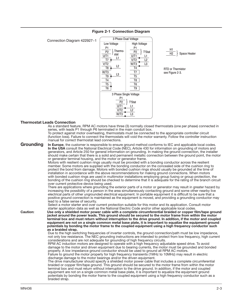

# Figure 2-1 Connection Diagram

# Thermostat Leads Connection

As a standard feature, RPM AC motors have three (3) normally closed thermostats (one per phase) connected in series, with leads P1 through P6 terminated in the main conduit box.

To protect against motor overheating, thermostats must be connected to the appropriate controller circuit (function loss). Failure to connect the thermostats will void the motor warranty. Follow the controller instruction manual for correct thermostat lead connections.

Grounding In Europe, the customer is responsible to ensure ground method conforms to IEC and applicable local codes. In the USA consult the National Electrical Code (NEC), Article 430 for information on grounding of motors and generators, and Article 250 for general information on grounding. In making the ground connection, the installer should make certain that there is a solid and permanent metallic connection between the ground point, the motor or generator terminal housing, and the motor or generator frame.

Motors with resilient cushion rings usually must be provided with a bonding conductor across the resilient member. Some motors are supplied with the bonding conductor on the concealed side of the cushion ring to protect the bond from damage. Motors with bonded cushion rings should usually be grounded at the time of installation in accordance with the above recommendations for making ground connections. When motors with bonded cushion rings are used in multimotor installations employing group fusing or group protection, the bonding of the cushion ring should be checked to determine that it is adequate for the rating of the branch circuit over current protective device being used.

There are applications where grounding the exterior parts of a motor or generator may result in greater hazard by increasing the possibility of a person in the area simultaneously contacting ground and some other nearby live electrical parts of other ungrounded electrical equipment. In portable equipment it is difficult to be sure that a positive ground connection is maintained as the equipment is moved, and providing a grounding conductor may lead to a false sense of security.

Select a motor starter and over current protection suitable for this motor and its application. Consult motor starter application data as well as the National Electric Code and/or other applicable local codes.

Caution: Use only a shielded motor power cable with a complete circumferential braided or copper film/tape ground jacket around the power leads. This ground should be secured to the motor frame from within the motor terminal box and must return without interruption to the drive ground. In addition, if the motor and coupled equipment are not on a single common metal base plate, it is important to equalize the equipment ground potentials by bonding the motor frame to the coupled equipment using a high frequency conductor such as a braided strap.

Due to the high switching frequencies of inverter controls, the ground connection/path must be low impedance, not only low resistance. The NEC grounding instructions are intended to protect from low frequency, high current considerations and are not adequate for grounding of high frequency circuits.

RPM AC induction motors are designed to operate with a high frequency adjustable speed drive. To avoid damage to the motor and driven equipment due to bearing currents, the motor must be grounded and bonded properly. A low impedance ground conductor should be used to ground all RPM AC motors.

Failure to ground the motor properly for high frequency transients (1MHz to 10MHz) may result in electric discharge damage to the motor bearings and/or the driven equipment.

The drive manufacturer should specify a shielded motor power cable that includes a complete circumferential braided or copper film/tape ground. This ground should be secured to the motor frame from within the motor terminal box and must return without interruption to the drive ground. In addition, if the motor and coupled equipment are not on a single common metal base plate, it is important to equalize the equipment ground potentials by bonding the motor frame to the coupled equipment using a high frequency conductor such as a braided strap.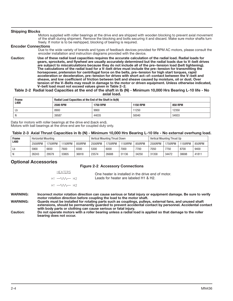#### Shipping Blocks Motors supplied with roller bearings at the drive end are shipped with wooden blocking to prevent axial movement of the shaft during shipment. Remove the blocking and bolts securing it and discard. Make sure motor shafts turn freely. If motor is to be reshipped, blocking of bearing is required. Encoder Connections Due to the wide variety of brands and types of feedback devices provided for RPM AC motors, please consult the encoder installation and instruction diagrams provided with the device. Caution: Use of these radial load capacities requires the accurate calculation of the radial load. Radial loads for gears, sprockets, and flywheel are usually accurately determined but the radial loads due to V−belt drives are subject to miscalculations because they do not include all of the pre−tension load (belt tightening). The calculations of the radial load for a V−belt drive must include the pre−tension for transmitting the horsepower, pretension for centrifugal force on the belts, pre−tension for high start torques, rapid acceleration or deceleration, pre−tension for drives with short act−of−contact between the V−belt and sheave, and low coefficient of friction between belt and sheave caused by moisture, oil or dust. Over tension of the V−Belts may result in damage to the motor or driven equipment. Unless otherwise indicated, V−belt load must not exceed values given in Table 2−2.

#### Table 2-2 Radial load Capacities at the end of the shaft in lb (N) - Minimum 10,000 Hrs Bearing L-10 life - No axial load.

| <b>Frame</b> | Radial Load Capacities at the End of the Shaft in Ib(N) |                 |                 |                |  |  |  |  |
|--------------|---------------------------------------------------------|-----------------|-----------------|----------------|--|--|--|--|
| L400         | <b>2500 RPM</b>                                         | <b>1750 RPM</b> | <b>1150 RPM</b> | <b>850 RPM</b> |  |  |  |  |
| Lb           | 8900                                                    | 9900            | 11250           | 12350          |  |  |  |  |
| N            | 39587                                                   | 44035           | 50040           | 54933          |  |  |  |  |

Data for motors with roller bearings at the drive end (back end). Motors with ball bearings at the drive end are for coupled duty only.

# Table 2-3 Axial Thrust Capacities in lb (N) - Minimum 10,000 Hrs Bearing L-10 life - No external overhung load.

| Frame | <b>Horizontal Mounting</b> |         |         | Vertical Mounting Thrust Down |         |         |         | Vertical Mounting Thrust Up |         |         |                |        |
|-------|----------------------------|---------|---------|-------------------------------|---------|---------|---------|-----------------------------|---------|---------|----------------|--------|
| L400  | 2500RPM                    | 1750RPM | 1150RPM | 850RPM                        | 2500RPM | '750RPM | 1150RPM | 850RPM                      | 2500RPM | 1750RPM | <b>'150RPM</b> | 850RPM |
| Lb    | 5900                       | 6650    | 7600    | 8300                          | 5300    | 6000    | 7000    | 7700                        | 7050    | 7750    | 8700           | 9400   |
|       | 26243                      | 29579   | 33805   | 36918                         | 23574   | 26688   | 31136   | 34250                       | 31358   | 34472   | 38698          | 41811  |

# Optional Accessories

# Figure 2-2 Accessory Connections

| <b>HEATERS</b>                                        | One heater is installed in the drive end of motor. |
|-------------------------------------------------------|----------------------------------------------------|
| $H1 \longrightarrow \wedge \wedge \longrightarrow H2$ | Leads for heater are labeled H1 & H2.              |
| $H1 \longrightarrow M \longrightarrow H2$             |                                                    |

WARNING: Incorrect motor rotation direction can cause serious or fatal injury or equipment damage. Be sure to verify motor rotation direction before coupling the load to the motor shaft.

WARNING: Guards must be installed for rotating parts such as couplings, pulleys, external fans, and unused shaft extensions, should be permanently guarded to prevent accidental contact by personnel. Accidental contact with body parts or clothing can cause serious or fatal injury.

Caution: Do not operate motors with a roller bearing unless a radial load is applied so that damage to the roller bearing does not occur.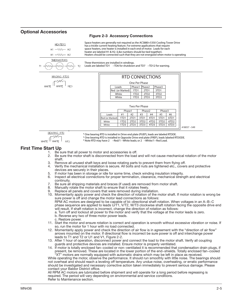# Optional Accessories

# Figure 2-3 Accessory Connections

| <b>HEATERS</b><br>$H1 - WW - H2$<br>н1 — VVV — н2                                                                                                                                                               | Space heaters are generally not required as the ACS880+5350 Cooling Tower Drive<br>has a trickle current heating feature. For extreme applications that require<br>space heaters, one heater is installed in each end of motor. Leads for each<br>heater are labeled H1 & H2. (Like numbers should be tied together).<br>Heaters should be connected such that they are not energized when motor is operating                                                                                                                                                                                                                                                                                                                                                                                                                                                                                                                                                                                                                                                                                                                                                                                                                                                                                                                                                                                                                                                                                                                                                                                                                                                                                                                                                                                                                                                                                                                                                                                                                                                                                                                                                                                                                                                                                                                                                                                                                                                                                                                                                                                                                                                                                                                                                                                                                                                                                                                                                                                                                                                      |
|-----------------------------------------------------------------------------------------------------------------------------------------------------------------------------------------------------------------|--------------------------------------------------------------------------------------------------------------------------------------------------------------------------------------------------------------------------------------------------------------------------------------------------------------------------------------------------------------------------------------------------------------------------------------------------------------------------------------------------------------------------------------------------------------------------------------------------------------------------------------------------------------------------------------------------------------------------------------------------------------------------------------------------------------------------------------------------------------------------------------------------------------------------------------------------------------------------------------------------------------------------------------------------------------------------------------------------------------------------------------------------------------------------------------------------------------------------------------------------------------------------------------------------------------------------------------------------------------------------------------------------------------------------------------------------------------------------------------------------------------------------------------------------------------------------------------------------------------------------------------------------------------------------------------------------------------------------------------------------------------------------------------------------------------------------------------------------------------------------------------------------------------------------------------------------------------------------------------------------------------------------------------------------------------------------------------------------------------------------------------------------------------------------------------------------------------------------------------------------------------------------------------------------------------------------------------------------------------------------------------------------------------------------------------------------------------------------------------------------------------------------------------------------------------------------------------------------------------------------------------------------------------------------------------------------------------------------------------------------------------------------------------------------------------------------------------------------------------------------------------------------------------------------------------------------------------------------------------------------------------------------------------------------------------------|
| <b>THERMISTORS</b><br>T <sub>2</sub><br>T1.                                                                                                                                                                     | Three thermistors are installed in windings.<br>Leads are labeled TD1 $-$ TD6 for shutdown and TD7 $-$ TD12 for warning.                                                                                                                                                                                                                                                                                                                                                                                                                                                                                                                                                                                                                                                                                                                                                                                                                                                                                                                                                                                                                                                                                                                                                                                                                                                                                                                                                                                                                                                                                                                                                                                                                                                                                                                                                                                                                                                                                                                                                                                                                                                                                                                                                                                                                                                                                                                                                                                                                                                                                                                                                                                                                                                                                                                                                                                                                                                                                                                                           |
| <b>WINDING RTDS</b><br><b>RED</b><br>WHITE                                                                                                                                                                      | <b>RTD CONNECTIONS</b><br>One Per Phase<br>Phase1 Phase2<br>Phase3<br>Leads<br>Red (or Marked)<br>1TD1<br>2TD1<br>3TD1<br>White<br>1TD <sub>2</sub><br>2TD <sub>2</sub><br>3TD <sub>2</sub><br>2TD3<br>3TD3<br>White<br>1TD3                                                                                                                                                                                                                                                                                                                                                                                                                                                                                                                                                                                                                                                                                                                                                                                                                                                                                                                                                                                                                                                                                                                                                                                                                                                                                                                                                                                                                                                                                                                                                                                                                                                                                                                                                                                                                                                                                                                                                                                                                                                                                                                                                                                                                                                                                                                                                                                                                                                                                                                                                                                                                                                                                                                                                                                                                                       |
|                                                                                                                                                                                                                 | Two Per Phase<br>Phase2<br>Phase3<br>Phase1<br>#1<br>Leads<br>#2<br>#3<br>#4<br>#5<br>#6<br>4TD1<br>5TD1<br>1TD1<br>2TD1<br>3TD1<br>6TD1<br>Red (or Marked)<br>3TD <sub>2</sub><br>5TD <sub>2</sub><br>1TD <sub>2</sub><br>2TD <sub>2</sub><br>4TD <sub>2</sub><br>6TD <sub>2</sub><br>White<br>3TD3<br>5TD3<br>1TD3<br>2TD3<br>4TD3<br>6TD3<br>White<br>418057-549                                                                                                                                                                                                                                                                                                                                                                                                                                                                                                                                                                                                                                                                                                                                                                                                                                                                                                                                                                                                                                                                                                                                                                                                                                                                                                                                                                                                                                                                                                                                                                                                                                                                                                                                                                                                                                                                                                                                                                                                                                                                                                                                                                                                                                                                                                                                                                                                                                                                                                                                                                                                                                                                                                |
| <b>BEARING RTD</b><br>WHITE <sup>11</sup><br><b>WHITE</b><br><b>RFD</b>                                                                                                                                         | * One bearing RTD is installed in Drive end plate (PUEP), leads are labeled RTDDE.<br>* One bearing RTD is installed in Opposite Drive end plate (FREP), leads labeled RTDODE.<br>* Note RTD may have 2 -Red/1 -White leads; or 2 -White/1-Red Lead.                                                                                                                                                                                                                                                                                                                                                                                                                                                                                                                                                                                                                                                                                                                                                                                                                                                                                                                                                                                                                                                                                                                                                                                                                                                                                                                                                                                                                                                                                                                                                                                                                                                                                                                                                                                                                                                                                                                                                                                                                                                                                                                                                                                                                                                                                                                                                                                                                                                                                                                                                                                                                                                                                                                                                                                                               |
| <b>First Time Start Up</b><br>1.<br>2.<br>shaft.<br>З.<br>4.<br>devices are securely in their places.<br>5.<br>6.<br>continuity.<br>7.<br>8.<br>9.<br>c. Restore power.<br>contact your Baldor District office. | Be sure that all power to motor and accessories is off.<br>Be sure the motor shaft is disconnected from the load and will not cause mechanical rotation of the motor<br>Remove all unused shaft keys and loose rotating parts to prevent them from flying off.<br>Verify the mechanical installation is secure. All bolts and nuts are tightened etc., covers and protective<br>If motor has been in storage or idle for some time, check winding insulation integrity.<br>Inspect all electrical connections for proper termination, clearance, mechanical strength and electrical<br>Be sure all shipping materials and braces (if used) are removed from motor shaft.<br>Manually rotate the motor shaft to ensure that it rotates freely.<br>Replace all panels and covers that were removed during installation.<br>10. Momentarily apply power and check the direction of rotation of the motor shaft. If motor rotation is wrong be<br>sure power is off and change the motor lead connections as follows:<br>RPM AC motors are designed to be capable of bi-directional shaft rotation. When voltages in an A-B-C<br>phase sequence are applied to leads U/T1, V/T2, W/T3 clockwise shaft rotation facing the opposite drive end<br>will result. If shaft rotation is incorrect, change the direction of rotation as follows:<br>a. Turn off and lockout all power to the motor and verify that the voltage at the motor leads is zero.<br>b. Reverse any two of three motor power leads.<br>11. Start the motor and ensure rotation is correct and operation is smooth without excessive vibration or noise. If<br>so, run the motor for 1 hour with no load connected.<br>12. Momentarily apply power and check the direction of air flow is in agreement with the "direction of air flow"<br>arrows mounted on the motor. If directional flow is incorrect be sure power is off and interchange power<br>leads to T1 and T2 or U1 and V1, Figure 2-2.<br>13. After 1 hour of operation, disconnect power and connect the load to the motor shaft. Verify all coupling<br>guards and protective devices are installed. Ensure motor is properly ventilated.<br>14. If motor is totally enclosed fan-cooled or non-ventilated it is recommended that condensation drain plugs, if<br>present, be removed. These are located in the lower portion of the end-shields. Totally enclosed fan-cooled<br>"XT" motors are normally equipped with automatic drains which may be left in place as received.<br>While operating the motor, observe the performance. It should run smoothly with little noise. The bearings should<br>not overheat and should reach a leveling off temperature. Any undue noise, overheating, or erratic performance<br>should be investigated and necessary corrective action taken immediately to prevent serious damage. Please<br>All RPM AC motors are lubricated before shipment and will operate for a long period before regreasing is<br>required. The period will vary depending on environmental and service conditions. |

Refer to Maintenance section.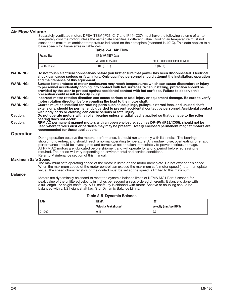# Air Flow Volume

Separately ventilated motors DPSV, TESV (IP23 IC17 and IP44-IC37) must have the following volume of air to adequately cool the motor unless the nameplate specifies a different value. Cooling air temperature must not exceed the maximum ambient temperature indicated on the nameplate (standard is 40°C). This data applies to all base speeds for frame sizes in Table 2−4.

Table 2-4 Air Flow

|                           | <b>Frame Size</b>                                                                                                                                                                                                                                                                                                                                                                                                                                                  | <b>DPSV OR TESV Data</b>      |                                                                                                                                                                                                                          |
|---------------------------|--------------------------------------------------------------------------------------------------------------------------------------------------------------------------------------------------------------------------------------------------------------------------------------------------------------------------------------------------------------------------------------------------------------------------------------------------------------------|-------------------------------|--------------------------------------------------------------------------------------------------------------------------------------------------------------------------------------------------------------------------|
|                           |                                                                                                                                                                                                                                                                                                                                                                                                                                                                    | Air Volume M3/sec             | Static Pressure psi (mm of water)                                                                                                                                                                                        |
|                           | L400 / DL250                                                                                                                                                                                                                                                                                                                                                                                                                                                       | 1100 (0.519)                  | 6.5(165.1)                                                                                                                                                                                                               |
| <b>WARNING:</b>           | and maintenance of this equipment.                                                                                                                                                                                                                                                                                                                                                                                                                                 |                               | Do not touch electrical connections before you first ensure that power has been disconnected. Electrical<br>shock can cause serious or fatal injury. Only qualified personnel should attempt the installation, operation |
| <b>WARNING:</b>           | to personnel accidentally coming into contact with hot surfaces. When installing, protection should be<br>provided by the user to protect against accidental contact with hot surfaces. Failure to observe this<br>precaution could result in bodily injury.                                                                                                                                                                                                       |                               | Surface temperatures of motor enclosures may reach temperatures which can cause discomfort or injury                                                                                                                     |
| <b>WARNING:</b>           |                                                                                                                                                                                                                                                                                                                                                                                                                                                                    |                               | Incorrect motor rotation direction can cause serious or fatal injury or equipment damage. Be sure to verify                                                                                                              |
| <b>WARNING:</b>           | motor rotation direction before coupling the load to the motor shaft.<br>Guards must be installed for rotating parts such as couplings, pulleys, external fans, and unused shaft<br>with body parts or clothing can cause serious or fatal injury.                                                                                                                                                                                                                 |                               | extensions, should be permanently guarded to prevent accidental contact by personnel. Accidental contact                                                                                                                 |
| <b>Caution:</b>           | Do not operate motors with a roller bearing unless a radial load is applied so that damage to the roller<br>bearing does not occur.                                                                                                                                                                                                                                                                                                                                |                               |                                                                                                                                                                                                                          |
| <b>Caution:</b>           | RPM AC permanent magnet motors with an open enclosure, such as DP-FV (IP23/IC06), should not be<br>recommended for these applications.                                                                                                                                                                                                                                                                                                                             |                               | used where ferrous dust or particles may may be present. Totally enclosed permanent magnet motors are                                                                                                                    |
| <b>Operation</b>          |                                                                                                                                                                                                                                                                                                                                                                                                                                                                    |                               |                                                                                                                                                                                                                          |
|                           | During operation observe the motors' performance. It should run smoothly with little noise. The bearings<br>performance should be investigated and corrective action taken immediately to prevent serious damage.<br>All RPM AC motors are lubricated before shipment and will operate for a long period before regreasing is<br>required. The period will vary depending on environmental and service conditions.<br>Refer to Maintenance section of this manual. |                               | should not overheat and should reach a normal operating temperature. Any undue noise, overheating, or erratic                                                                                                            |
| <b>Maximum Safe Speed</b> |                                                                                                                                                                                                                                                                                                                                                                                                                                                                    |                               |                                                                                                                                                                                                                          |
|                           | The maximum safe operating speed of the motor is listed on the motor nameplate. Do not exceed this speed.<br>When the maximum speed of the motor control can exceed the maximum safe motor speed (motor nameplate<br>value), the speed characteristics of the control must be set so the speed is limited to this maximum.                                                                                                                                         |                               |                                                                                                                                                                                                                          |
| <b>Balance</b>            |                                                                                                                                                                                                                                                                                                                                                                                                                                                                    |                               |                                                                                                                                                                                                                          |
|                           | Motors are dynamically balanced to meet the dynamic balance limits of NEMA MG1 Part 7 second for<br>peak value of the unfiltered velocity in inches per second unless ordered differently. Balance is done with<br>a full length 1/2 height shaft key. A full shaft key is shipped with motor. Sheave or coupling should be<br>balanced with a 1/2 height shaft key. Std. Dynamic Balance Limits.                                                                  |                               |                                                                                                                                                                                                                          |
|                           |                                                                                                                                                                                                                                                                                                                                                                                                                                                                    | Table 2-5 Dynamic Balance     |                                                                                                                                                                                                                          |
|                           | <b>RPM</b>                                                                                                                                                                                                                                                                                                                                                                                                                                                         | <b>NEMA</b>                   | <b>IEC</b>                                                                                                                                                                                                               |
|                           |                                                                                                                                                                                                                                                                                                                                                                                                                                                                    | <b>Velocity Peak (in/sec)</b> | <b>Velocity (mm/sec RMS)</b>                                                                                                                                                                                             |

0-1200  $\vert$  0.15  $\vert$  2.7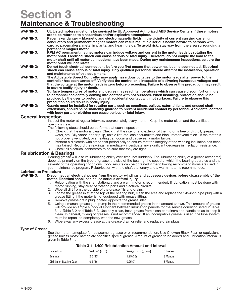# Section 3 Maintenance & Troubleshooting

| <b>WARNING:</b> | UL Listed motors must only be serviced by UL Approved Authorized ABB Service Centers if these motors<br>are to be returned to a hazardous and/or explosive atmosphere.                                                                                                                                                                                                  |
|-----------------|-------------------------------------------------------------------------------------------------------------------------------------------------------------------------------------------------------------------------------------------------------------------------------------------------------------------------------------------------------------------------|
| <b>WARNING:</b> | Pacemaker danger – Magnetic and electromagnetic fields in the vicinity of current carrying carrying<br>conductors and permanent magnet motors can result result in a serious health hazard to persons with<br>cardiac pacemakers, metal implants, and hearing aids. To avoid risk, stay way from the area surrounding a<br>permanent magnet motor.                      |
| <b>WARNING:</b> | RPM AC permanent magnet motors can induce voltage and current in the motor leads by rotating the<br>motor shaft. Electrical shock can cause serious or fatal injury. Therefore, do not couple the load to the<br>motor shaft until all motor connections have been made. During any maintenance inspections, be sure the<br>motor shaft will not rotate.                |
| <b>WARNING:</b> | Do not touch electrical connections before you first ensure that power has been disconnected. Electrical<br>shock can cause serious or fatal injury. Only qualified personnel should attempt the installation, operation<br>and maintenance of this equipment.                                                                                                          |
| <b>WARNING:</b> | The Adjustable Speed Controller may apply hazardous voltages to the motor leads after power to the<br>controller has been turned off. Verify that the controller is incapable of delivering hazardous voltages and<br>that the voltage at the motor leads is zero before proceeding. Failure to observe this precaution may result<br>in severe bodily injury or death. |
| <b>WARNING:</b> | Surface temperatures of motor enclosures may reach temperatures which can cause discomfort or injury<br>to personnel accidentally coming into contact with hot surfaces. When installing, protection should be<br>provided by the user to protect against accidental contact with hot surfaces. Failure to observe this<br>precaution could result in bodily injury.    |

WARNING: Guards must be installed for rotating parts such as couplings, pulleys, external fans, and unused shaft extensions, should be permanently guarded to prevent accidental contact by personnel. Accidental contact with body parts or clothing can cause serious or fatal injury.

# General Inspection

Inspect the motor at regular intervals, approximately every month. Keep the motor clean and the ventilation openings clear.

The following steps should be performed at each inspection:

- 1. Check that the motor is clean. Check that the interior and exterior of the motor is free of dirt, oil, grease, water, etc. Oily vapor, paper pulp, textile lint, etc. can accumulate and block motor ventilation. If the motor is not properly ventilated, overheating can occur and cause early motor failure.
- 2. Perform a dielectric with stand test periodically to ensure that the integrity of the winding insulation has been maintained. Record the readings. Immediately investigate any significant decrease in insulation resistance.
- 3. Check all electrical connectors to be sure that they are tight.

# Relubrication & Bearings

Bearing grease will lose its lubricating ability over time, not suddenly. The lubricating ability of a grease (over time) depends primarily on the type of grease, the size of the bearing, the speed at which the bearing operates and the severity of the operating conditions. Good results can be obtained if the following recommendations are used in your maintenance program. Relubrication with the shaft stationary and a warm motor is recommended.

# **Lubrication Procedure<br>WARNING: Disconne**

### Disconnect all electrical power from the motor windings and accessory devices before disassembly of the motor. Electrical shock can cause serious or fatal injury.

- 1. Relubrication with the shaft stationary and a warm motor is recommended. If lubrication must be done with motor running, stay clear of rotating parts and electrical circuits.
- 2. Wipe all dirt from the outside of the grease fills and drains.
- 3. Locate the grease inlet at the top of the bearing hub, clean the area and replace the 1/8−inch pipe plug with a grease fitting if the motor is not equipped with grease fitting.
- 4. Remove grease drain plug located opposite the grease inlet.
- 5. Using a manual grease gun, pump in the recommended grease in the amount shown. This amount of grease will provide an ample supply of lubricant between lubrication periods for the service condition listed in Table 3-1, Table 3-2 and Table 3-3. Use only clean, fresh grease from clean containers and handle so as to keep it clean. In general, mixing of greases is not recommended. If an incompatible grease is used, the lube system must be repacked completely with the new grease.
- 6. Wipe away any excess grease at the grease drain or relief and replace drain plugs.

# Type of Grease

See the motor nameplate for replacement grease or oil recommendation. Use Chevron Black Pearl or equivalent grease unless motor nameplate specifies special grease. Amount of grease to be added and lubrication interval is given in Table 3-1.

| Location                | Vol. in $3$ (cm $3$ ) | Weight oz (gram) | Interval |
|-------------------------|-----------------------|------------------|----------|
| Bearings                | 2.5(40)               | 1.25 (35)        | 3 Months |
| ODE (Inner Bearing Cap) | 0.5(8)                | 0.25(7)          | 3 Months |

Table 3-1 L400 Relubrication Amount and Interval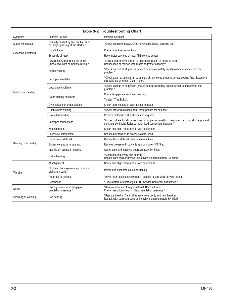| <b>Table 3-2 Troubleshooting Chart</b>                                                                                                                                          |                                                                              |                                                                                                                                                                   |  |  |  |  |
|---------------------------------------------------------------------------------------------------------------------------------------------------------------------------------|------------------------------------------------------------------------------|-------------------------------------------------------------------------------------------------------------------------------------------------------------------|--|--|--|--|
| Symptom                                                                                                                                                                         | <b>Possible Causes</b>                                                       | <b>Possible Solutions</b>                                                                                                                                         |  |  |  |  |
| Motor will not start                                                                                                                                                            | "Usually caused by line trouble, such<br>as, single phasing at the starter." | "Check source of power. Check overloads, fuses, controls, etc."                                                                                                   |  |  |  |  |
| Excessive humming                                                                                                                                                               | High Voltage.                                                                | Check input line connections.                                                                                                                                     |  |  |  |  |
|                                                                                                                                                                                 | Eccentric air gap.                                                           | Have motor serviced at local ABB service center.                                                                                                                  |  |  |  |  |
| Motor Over Heating                                                                                                                                                              | "Overload. Compare actual amps<br>(measured) with nameplate rating."         | "Locate and remove source of excessive friction in motor or load.<br>Reduce load or replace with motor of greater capacity."                                      |  |  |  |  |
|                                                                                                                                                                                 | Single Phasing.                                                              | "Check current at all phases (should be approximately equal) to isolate and correct the<br>problem."                                                              |  |  |  |  |
|                                                                                                                                                                                 | Improper ventilation.                                                        | "Check external cooling fan to be sure air is moving properly across cooling fins. Excessive<br>dirt build-up on motor. Clean motor."                             |  |  |  |  |
|                                                                                                                                                                                 | Unbalanced voltage.                                                          | "Check voltage at all phases (should be approximately equal) to isolate and correct the<br>problem."                                                              |  |  |  |  |
|                                                                                                                                                                                 |                                                                              | Check air gap clearance and bearings.                                                                                                                             |  |  |  |  |
|                                                                                                                                                                                 | Rotor rubbing on stator.                                                     | Tighten "Thru Bolts".                                                                                                                                             |  |  |  |  |
|                                                                                                                                                                                 | Over voltage or under voltage.                                               | Check input voltage at each phase to motor.                                                                                                                       |  |  |  |  |
|                                                                                                                                                                                 | Open stator winding.                                                         | "Check stator resistance at all three phases for balance."                                                                                                        |  |  |  |  |
|                                                                                                                                                                                 | Grounded winding.                                                            | Perform dielectric test and repair as required.                                                                                                                   |  |  |  |  |
|                                                                                                                                                                                 | Improper connections.                                                        | "Inspect all electrical connections for proper termination, clearance, mechanical strength and<br>electrical continuity. Refer to motor lead connection diagram." |  |  |  |  |
|                                                                                                                                                                                 | Misalignment.                                                                | Check and align motor and driven equipment.                                                                                                                       |  |  |  |  |
|                                                                                                                                                                                 | Excessive belt tension.                                                      | Reduce belt tension to proper point for load.                                                                                                                     |  |  |  |  |
| <b>Bearing Over Heating</b>                                                                                                                                                     | Excessive end thrust.                                                        | Reduce the end thrust from driven machine.                                                                                                                        |  |  |  |  |
|                                                                                                                                                                                 | Excessive grease in bearing.                                                 | Remove grease until cavity is approximately 3/4 filled.                                                                                                           |  |  |  |  |
|                                                                                                                                                                                 | Insufficient grease in bearing.                                              | Add grease until cavity is approximately 3/4 filled.                                                                                                              |  |  |  |  |
|                                                                                                                                                                                 | Dirt in bearing.                                                             | "Clean bearing cavity and bearing.<br>Repack with correct grease until cavity is approximately 3/4 filled."                                                       |  |  |  |  |
| Vibration                                                                                                                                                                       | Misalignment.                                                                | Check and align motor and driven equipment.                                                                                                                       |  |  |  |  |
|                                                                                                                                                                                 | "Rubbing between rotating parts and<br>stationary parts."                    | Isolate and eliminate cause of rubbing.                                                                                                                           |  |  |  |  |
|                                                                                                                                                                                 | Rotor out of balance.                                                        | "Have rotor balance checked are repaired at your ABB Service Center."                                                                                             |  |  |  |  |
|                                                                                                                                                                                 | Resonance.                                                                   | "Tune system or contact your ABB Service Center for assistance."                                                                                                  |  |  |  |  |
| Noise                                                                                                                                                                           | "Foreign material in air gap or<br>ventilation openings."                    | "Remove rotor and foreign material. Reinstall rotor.<br>Check insulation integrity. Clean ventilation openings."                                                  |  |  |  |  |
| "Replace bearing. Clean all grease from cavity and new bearing.<br>Growling or whining<br>Bad bearing.<br>Repack with correct grease until cavity is approximately 3/4 filled." |                                                                              |                                                                                                                                                                   |  |  |  |  |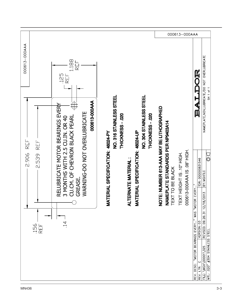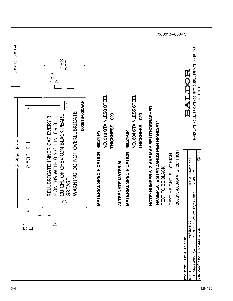|                                            |                                                                                                                                                                                  | 000613-000AAF                                                                                                                                                                                       |                                                                                                                                                                  |                                                                                                                                                                                                                                                                                                                   |
|--------------------------------------------|----------------------------------------------------------------------------------------------------------------------------------------------------------------------------------|-----------------------------------------------------------------------------------------------------------------------------------------------------------------------------------------------------|------------------------------------------------------------------------------------------------------------------------------------------------------------------|-------------------------------------------------------------------------------------------------------------------------------------------------------------------------------------------------------------------------------------------------------------------------------------------------------------------|
| 000613-000AAF                              | 1.188<br>F<br>EF<br>125<br>REF                                                                                                                                                   |                                                                                                                                                                                                     |                                                                                                                                                                  | <b>AS</b>                                                                                                                                                                                                                                                                                                         |
| REF<br>REF<br>2.906<br>2.539<br>156<br>REF | 000613-000AAF<br>WARNING-DO NOT OVERLUBRICATE<br>CU CM OF CHEVRON BLACK PEARL<br>RELUBRICATE INNER CAP EVERY 3<br>MONTHS WITH 0.5 CU.IN. OR 8<br><b>GREASE</b><br>$\overline{4}$ | NO. 304 STAINLESS STEEL<br>NO. 316 STAINLESS STEEL<br>THICKNESS-020<br>THICKNESS - .020<br>MATERIAL SPECIFICATION: 46024-UP<br>TERIAL SPECIFICATION: 46024-PY<br><b>ERNATE MATERIAL:</b><br>TT<br>Š | NOTE: NUMBER 613-AAF MAY BE LITHOGRAPHED<br><b>NAMEPLATE STANDARDS PER NP9403A14</b><br>TEXT TO BE BLACK<br>000613-000AAA IS 08" HIGH<br>TEXT HEIGHT IS 10" HIGH | NAMEPLATE, NOV, LUBRICATE/DO NOT OVERLUBRICATE INNER CAP<br>SH 1 of 1<br>F<br><b>.</b><br>Ø<br>∪<br>©<br>TDR: 0000000831546<br>BY: MGHTLC<br>/2013<br>REVISED: 01:05:02 12/19<br>VERSION: 00<br>#304 STAINLESS STEEL<br><b>RELEASE</b><br>FILE: \MGA\00001\455<br>INITAL<br>REV. DESC:<br>MTL: .020"<br>REV. LTR: |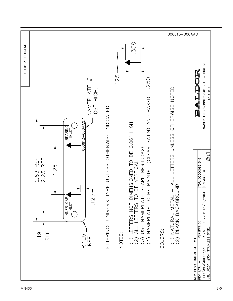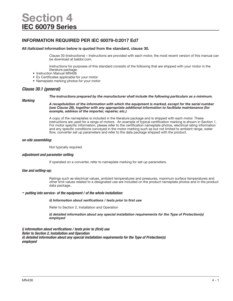# INFORMATION REQUIRED PER IEC 60079-0:2017 Ed7

### All *italicized* information below is quoted from the standard, clause 30.

Clause 30 (instructions) – Instructions are provided with each motor, the most recent version of this manual can be download at baldor.com.

Instructions for purposes of this standard consists of the following that are shipped with your motor in the literature package:

- Instruction Manual MN406
- Ex Certificates applicable for your motor
- Nameplate marking photos for your motor

# *Clause 30.1 (general)*

#### *The instructions prepared by the manufacturer shall include the following particulars as a minimum.*

### *Marking*

*A recapitulation of the information with which the equipment is marked, except for the serial number (see Clause 29), together with any appropriate additional information to facilitate maintenance (for example, address of the importer, repairer, etc.)* 

A copy of the nameplates is included in the literature package and is shipped with each motor. These instructions are used for a range of motors. An example of typical certification marking is shown in Section 1. For motor specific information, please refer to the certification nameplate photos, electrical rating information and any specific conditions conveyed in the motor marking such as but not limited to ambient range, water flow, converter set up parameters and refer to the data package shipped with the product.

# *on-site assembling:*

Not typically required.

# *adjustment and parameter setting*

If operated on a converter, refer to nameplate marking for set-up parameters.

### *Use and setting-up;*

Ratings such as electrical values, ambient temperatures and pressures, maximum surface temperatures and other limit values related to a designated use are included on the product nameplate photos and in the product data package..

# *- putting into service- of the equipment / of the whole installation:*

### *ii) Information about verifications / tests prior to first use*

Refer to Section 2, Installation and Operation

*ii) detailed information about any special installation requirements for the Type of Protection(s) employed* 

*i) information about verifications / tests prior to (first) use Refer to Section 2, Installation and Operation ii) detailed information about any special installation requirements for the Type of Protection(s) employed*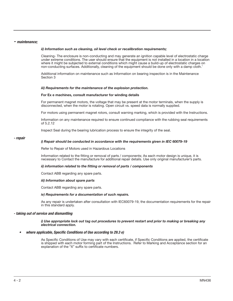### *- maintenance;*

#### *ii) Information such as cleaning, oil level check or recalibration requirements;*

Cleaning- The enclosure is non-conducting and may generate an ignition capable level of electrostatic charge under extreme conditions. The user should ensure that the equipment is not installed in a location in a location where it might be subjected to external conditions which might cause a build-up of electrostatic charges on non-conducting surfaces. Additionally, cleaning of the equipment should be done only with a damp cloth.'

Additional information on maintenance such as Information on bearing inspection is in the Maintenance Section 3

#### *iii) Requirements for the maintenance of the explosion protection.*

#### For Ex e machines, consult manufacturer for winding details

For permanent magnet motors, the voltage that may be present at the motor terminals, when the supply is disconnected, when the motor is rotating. Open circuit vs. speed data is normally supplied.

For motors using permanent magnet rotors, consult warning marking, which is provided with the Instructions.

Information on any maintenance required to ensure continued compliance with the rubbing seal requirements of 5.2.12

Inspect Seal during the bearing lubrication process to ensure the integrity of the seal.

#### *- repair*

#### *i) Repair should be conducted in accordance with the requirements given in IEC 60079-19*

Refer to Repair of Motors used in Hazardous Locations

Information related to the fitting or removal of parts / components; As each motor design is unique, it is necessary to Contact the manufacture for additional repair details. Use only original manufacturer's parts.

#### *ii) information related to the fitting or removal of parts / components*

Contact ABB regarding any spare parts.

#### *iii) Information about spare parts*

Contact ABB regarding any spare parts.

#### *iv) Requirements for a documentation of such repairs.*

As any repair is undertaken after consultation with IEC60079-19, the documentation requirements for the repair in this standard apply.

#### *- taking out of service and dismantling*

#### *i) Use appropriate lock out tag out procedures to prevent restart and prior to making or breaking any electrical connection.*

#### *• where applicable, Specific Conditions of Use according to 29.3 e)*

As Specific Conditions of Use may vary with each certificate, if Specific Conditions are applied, the certificate is shipped with each motor forming part of the Instructions. Refer to Marking and Acceptance section for an explanation of the "X" suffix to certificate numbers.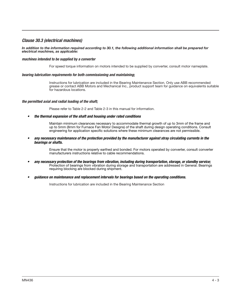# *Clause 30.3 (electrical machines)*

#### *In addition to the information required according to 30.1, the following additional information shall be prepared for electrical machines, as applicable:*

# *machines intended to be supplied by a converter*

For speed torque information on motors intended to be supplied by converter, consult motor nameplate.

### *bearing lubrication requirements for both commissioning and maintaining*;

Instructions for lubrication are included in the Bearing Maintenance Section. Only use ABB recommended grease or contact ABB Motors and Mechanical Inc., product support team for guidance on equivalents suitable for hazardous locations.

### *the permitted axial and radial loading of the shaft;*

Please refer to Table 2-2 and Table 2-3 in this manual for information.

*• the thermal expansion of the shaft and housing under rated conditions*

Maintain minimum clearances necessary to accommodate thermal growth of up to 3mm of the frame and up to 5mm (8mm for Furnace Fan Motor Designs) of the shaft during design operating conditions. Consult engineering for application specific solutions where these minimum clearances are not permissible.

*• any necessary maintenance of the protection provided by the manufacturer against stray circulating currents in the bearings or shafts.*

> Ensure that the motor is properly earthed and bonded. For motors operated by converter, consult converter manufacturers instructions relative to cable recommendations.

- *• any necessary protection of the bearings from vibration, including during transportation, storage, or standby service;*  Protection of bearings from vibration during storage and transportation are addressed in General. Bearings requiring blocking are blocked during shipment.
- *• guidance on maintenance and replacement intervals for bearings based on the operating conditions.*

Instructions for lubrication are included in the Bearing Maintenance Section